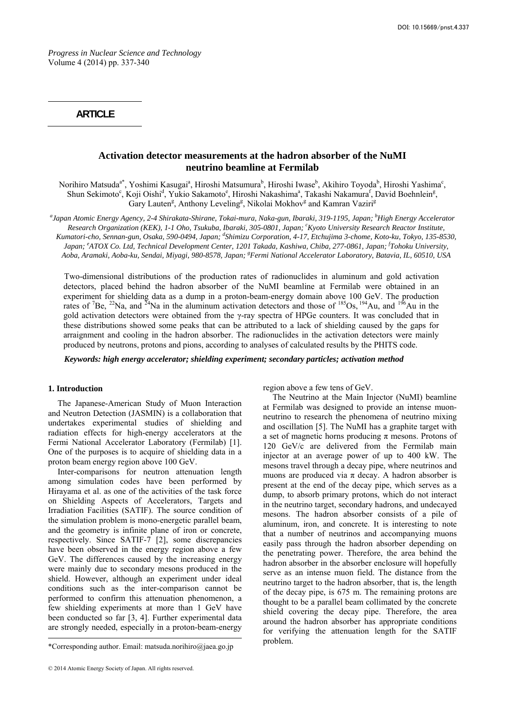*Progress in Nuclear Science and Technology*  Volume 4 (2014) pp. 337-340

## **ARTICLE**

# **Activation detector measurements at the hadron absorber of the NuMI neutrino beamline at Fermilab**

Norihiro Matsuda<sup>a\*</sup>, Yoshimi Kasugai<sup>a</sup>, Hiroshi Matsumura<sup>b</sup>, Hiroshi Iwase<sup>b</sup>, Akihiro Toyoda<sup>b</sup>, Hiroshi Yashima<sup>c</sup>, Shun Sekimoto<sup>c</sup>, Koji Oishi<sup>d</sup>, Yukio Sakamoto<sup>e</sup>, Hiroshi Nakashima<sup>a</sup>, Takashi Nakamura<sup>f</sup>, David Boehnlein<sup>g</sup>, Gary Lauten<sup>g</sup>, Anthony Leveling<sup>g</sup>, Nikolai Mokhov<sup>g</sup> and Kamran Vaziri<sup>g</sup>

*a Japan Atomic Energy Agency, 2-4 Shirakata-Shirane, Tokai-mura, Naka-gun, Ibaraki, 319-1195, Japan; b High Energy Accelerator*  Research Organization (KEK), 1-1 Oho, Tsukuba, Ibaraki, 305-0801, Japan; <sup>c</sup>Kyoto University Research Reactor Institute, Kumatori-cho, Sennan-gun, Osaka, 590-0494, Japan; <sup>d</sup>Shimizu Corporation, 4-17, Etchujima 3-chome, Koto-ku, Tokyo, 135-8530, *Japan; <sup>e</sup> ATOX Co. Ltd, Technical Development Center, 1201 Takada, Kashiwa, Chiba, 277-0861, Japan; f Tohoku University, Aoba, Aramaki, Aoba-ku, Sendai, Miyagi, 980-8578, Japan; g Fermi National Accelerator Laboratory, Batavia, IL, 60510, USA* 

Two-dimensional distributions of the production rates of radionuclides in aluminum and gold activation detectors, placed behind the hadron absorber of the NuMI beamline at Fermilab were obtained in an experiment for shielding data as a dump in a proton-beam-energy domain above 100 GeV. The production rates of <sup>7</sup>Be, <sup>22</sup>Na, and <sup>24</sup>Na in the aluminum activation detectors and those of <sup>185</sup>Os, <sup>194</sup>Au, and <sup>196</sup>Au in the gold activation detectors were obtained from the γ-ray spectra of HPGe counters. It was concluded that in these distributions showed some peaks that can be attributed to a lack of shielding caused by the gaps for arraignment and cooling in the hadron absorber. The radionuclides in the activation detectors were mainly produced by neutrons, protons and pions, according to analyses of calculated results by the PHITS code.

*Keywords: high energy accelerator; shielding experiment; secondary particles; activation method* 

## **1.** Introduction

The Japanese-American Study of Muon Interaction and Neutron Detection (JASMIN) is a collaboration that undertakes experimental studies of shielding and radiation effects for high-energy accelerators at the Fermi National Accelerator Laboratory (Fermilab) [1]. One of the purposes is to acquire of shielding data in a proton beam energy region above 100 GeV.

Inter-comparisons for neutron attenuation length among simulation codes have been performed by Hirayama et al. as one of the activities of the task force on Shielding Aspects of Accelerators, Targets and Irradiation Facilities (SATIF). The source condition of the simulation problem is mono-energetic parallel beam, and the geometry is infinite plane of iron or concrete, respectively. Since SATIF-7 [2], some discrepancies have been observed in the energy region above a few GeV. The differences caused by the increasing energy were mainly due to secondary mesons produced in the shield. However, although an experiment under ideal conditions such as the inter-comparison cannot be performed to confirm this attenuation phenomenon, a few shielding experiments at more than 1 GeV have been conducted so far [3, 4]. Further experimental data are strongly needed, especially in a proton-beam-energy

region above a few tens of GeV.

The Neutrino at the Main Injector (NuMI) beamline at Fermilab was designed to provide an intense muonneutrino to research the phenomena of neutrino mixing and oscillation [5]. The NuMI has a graphite target with a set of magnetic horns producing  $\pi$  mesons. Protons of 120 GeV/c are delivered from the Fermilab main injector at an average power of up to 400 kW. The mesons travel through a decay pipe, where neutrinos and muons are produced via  $\pi$  decay. A hadron absorber is present at the end of the decay pipe, which serves as a dump, to absorb primary protons, which do not interact in the neutrino target, secondary hadrons, and undecayed mesons. The hadron absorber consists of a pile of aluminum, iron, and concrete. It is interesting to note that a number of neutrinos and accompanying muons easily pass through the hadron absorber depending on the penetrating power. Therefore, the area behind the hadron absorber in the absorber enclosure will hopefully serve as an intense muon field. The distance from the neutrino target to the hadron absorber, that is, the length of the decay pipe, is 675 m. The remaining protons are thought to be a parallel beam collimated by the concrete shield covering the decay pipe. Therefore, the area around the hadron absorber has appropriate conditions for verifying the attenuation length for the SATIF problem.

<sup>\*</sup>Corresponding author. Email: matsuda.norihiro@jaea.go.jp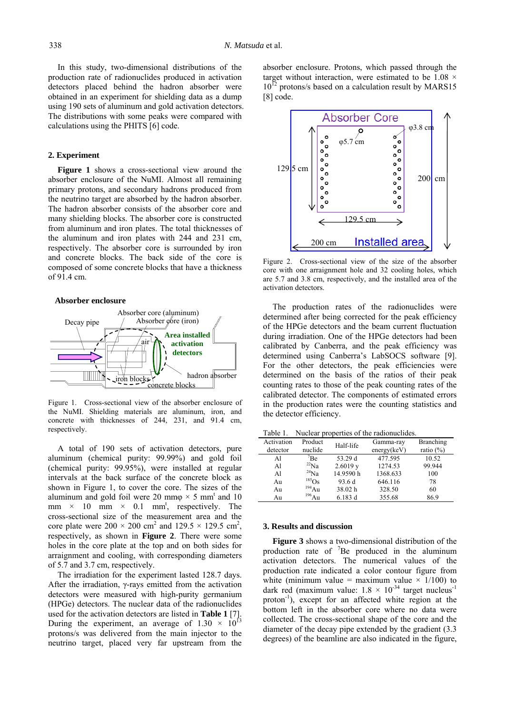In this study, two-dimensional distributions of the production rate of radionuclides produced in activation detectors placed behind the hadron absorber were obtained in an experiment for shielding data as a dump using 190 sets of aluminum and gold activation detectors. The distributions with some peaks were compared with calculations using the PHITS [6] code.

### **2. Experiment**

**Figure 1** shows a cross-sectional view around the absorber enclosure of the NuMI. Almost all remaining primary protons, and secondary hadrons produced from the neutrino target are absorbed by the hadron absorber. The hadron absorber consists of the absorber core and many shielding blocks. The absorber core is constructed from aluminum and iron plates. The total thicknesses of the aluminum and iron plates with 244 and 231 cm, respectively. The absorber core is surrounded by iron and concrete blocks. The back side of the core is composed of some concrete blocks that have a thickness of 91.4 cm.

#### **Absorber enclosure**



Figure 1. Cross-sectional view of the absorber enclosure of the NuMI. Shielding materials are aluminum, iron, and concrete with thicknesses of 244, 231, and 91.4 cm, respectively.

A total of 190 sets of activation detectors, pure aluminum (chemical purity: 99.99%) and gold foil (chemical purity: 99.95%), were installed at regular intervals at the back surface of the concrete block as shown in Figure 1, to cover the core. The sizes of the aluminum and gold foil were 20 mm $\varphi \times 5$  mm<sup>t</sup> and 10 mm  $\times$  10 mm  $\times$  0.1 mm<sup>t</sup>, respectively. The cross-sectional size of the measurement area and the core plate were  $200 \times 200$  cm<sup>2</sup> and  $129.5 \times 129.5$  cm<sup>2</sup>, respectively, as shown in **Figure 2**. There were some holes in the core plate at the top and on both sides for arraignment and cooling, with corresponding diameters of 5.7 and 3.7 cm, respectively.

The irradiation for the experiment lasted 128.7 days. After the irradiation, γ-rays emitted from the activation detectors were measured with high-purity germanium (HPGe) detectors. The nuclear data of the radionuclides used for the activation detectors are listed in **Table 1** [7]. During the experiment, an average of  $1.30 \times 10^{13}$ protons/s was delivered from the main injector to the neutrino target, placed very far upstream from the

absorber enclosure. Protons, which passed through the target without interaction, were estimated to be  $1.08 \times$  $10^{12}$  protons/s based on a calculation result by MARS15 [8] code.



Figure 2. Cross-sectional view of the size of the absorber core with one arraignment hole and 32 cooling holes, which are 5.7 and 3.8 cm, respectively, and the installed area of the activation detectors.

The production rates of the radionuclides were determined after being corrected for the peak efficiency of the HPGe detectors and the beam current fluctuation during irradiation. One of the HPGe detectors had been calibrated by Canberra, and the peak efficiency was determined using Canberra's LabSOCS software [9]. For the other detectors, the peak efficiencies were determined on the basis of the ratios of their peak counting rates to those of the peak counting rates of the calibrated detector. The components of estimated errors in the production rates were the counting statistics and the detector efficiency.

Table 1. Nuclear properties of the radionuclides.

| Activation<br>detector | Product<br>nuclide | Half-life | Gamma-ray<br>energy(keV) | <b>Branching</b><br>ratio $(\%)$ |
|------------------------|--------------------|-----------|--------------------------|----------------------------------|
| Al                     | <sup>7</sup> Be    | 53.29 d   | 477.595                  | 10.52                            |
| Al                     | $^{22}$ Na         | 2.6019y   | 1274.53                  | 99.944                           |
| Al                     | $^{24}Na$          | 14.9590h  | 1368.633                 | 100                              |
| Au                     | $^{185}Os$         | 93.6 d    | 646.116                  | 78                               |
| Au                     | $^{194}$ Au        | 38.02 h   | 328.50                   | 60                               |
| Au                     | $^{196}$ Au        | 6.183 d   | 355.68                   | 86.9                             |

#### **3. Results and discussion**

**Figure 3** shows a two-dimensional distribution of the production rate of  ${}^{7}$ Be produced in the aluminum activation detectors. The numerical values of the production rate indicated a color contour figure from white (minimum value = maximum value  $\times$  1/100) to dark red (maximum value:  $1.8 \times 10^{-34}$  target nucleus<sup>-1</sup> proton<sup>-1</sup>), except for an affected white region at the bottom left in the absorber core where no data were collected. The cross-sectional shape of the core and the diameter of the decay pipe extended by the gradient (3.3 degrees) of the beamline are also indicated in the figure,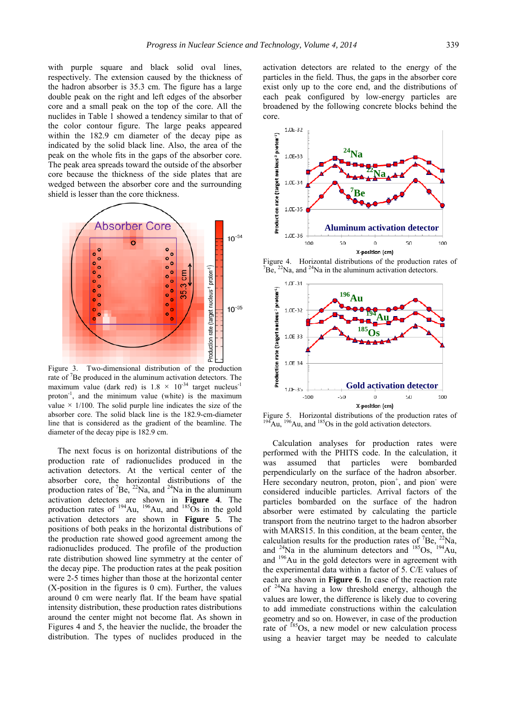with purple square and black solid oval lines, respectively. The extension caused by the thickness of the hadron absorber is 35.3 cm. The figure has a large double peak on the right and left edges of the absorber core and a small peak on the top of the core. All the nuclides in Table 1 showed a tendency similar to that of the color contour figure. The large peaks appeared within the 182.9 cm diameter of the decay pipe as indicated by the solid black line. Also, the area of the peak on the whole fits in the gaps of the absorber core. The peak area spreads toward the outside of the absorber core because the thickness of the side plates that are wedged between the absorber core and the surrounding shield is lesser than the core thickness.



Figure 3. Two-dimensional distribution of the production rate of <sup>7</sup>Be produced in the aluminum activation detectors. The maximum value (dark red) is  $1.8 \times 10^{-34}$  target nucleus<sup>-1</sup> proton $^{-1}$ , and the minimum value (white) is the maximum value  $\times$  1/100. The solid purple line indicates the size of the absorber core. The solid black line is the 182.9-cm-diameter line that is considered as the gradient of the beamline. The diameter of the decay pipe is 182.9 cm.

The next focus is on horizontal distributions of the production rate of radionuclides produced in the activation detectors. At the vertical center of the absorber core, the horizontal distributions of the production rates of <sup>7</sup>Be, <sup>22</sup>Na, and <sup>24</sup>Na in the aluminum activation detectors are shown in **Figure 4**. The production rates of  $^{194}$ Au,  $^{196}$ Au, and  $^{185}$ Os in the gold activation detectors are shown in **Figure 5**. The positions of both peaks in the horizontal distributions of the production rate showed good agreement among the radionuclides produced. The profile of the production rate distribution showed line symmetry at the center of the decay pipe. The production rates at the peak position were 2-5 times higher than those at the horizontal center (X-position in the figures is 0 cm). Further, the values around 0 cm were nearly flat. If the beam have spatial intensity distribution, these production rates distributions around the center might not become flat. As shown in Figures 4 and 5, the heavier the nuclide, the broader the distribution. The types of nuclides produced in the

activation detectors are related to the energy of the particles in the field. Thus, the gaps in the absorber core exist only up to the core end, and the distributions of each peak configured by low-energy particles are broadened by the following concrete blocks behind the core.



Figure 4. Horizontal distributions of the production rates of  $B_0^2$ Be,  $^{22}$ Na, and  $^{24}$ Na in the aluminum activation detectors.



Figure 5. Horizontal distributions of the production rates of  $^{194}$ Au,  $^{196}$ Au, and  $^{185}$ Os in the gold activation detectors.

Calculation analyses for production rates were performed with the PHITS code. In the calculation, it was assumed that particles were bombarded perpendicularly on the surface of the hadron absorber. Here secondary neutron, proton,  $pion<sup>+</sup>$ , and  $pion<sup>-</sup>$  were considered inducible particles. Arrival factors of the particles bombarded on the surface of the hadron absorber were estimated by calculating the particle transport from the neutrino target to the hadron absorber with MARS15. In this condition, at the beam center, the calculation results for the production rates of  ${}^{7}Be$ ,  ${}^{22}Na$ , and  $^{24}$ Na in the aluminum detectors and  $^{185}$ Os,  $^{194}$ Au, and 196Au in the gold detectors were in agreement with the experimental data within a factor of 5. C/E values of each are shown in **Figure 6**. In case of the reaction rate of  $24$ Na having a low threshold energy, although the values are lower, the difference is likely due to covering to add immediate constructions within the calculation geometry and so on. However, in case of the production rate of <sup>185</sup>Os, a new model or new calculation process using a heavier target may be needed to calculate